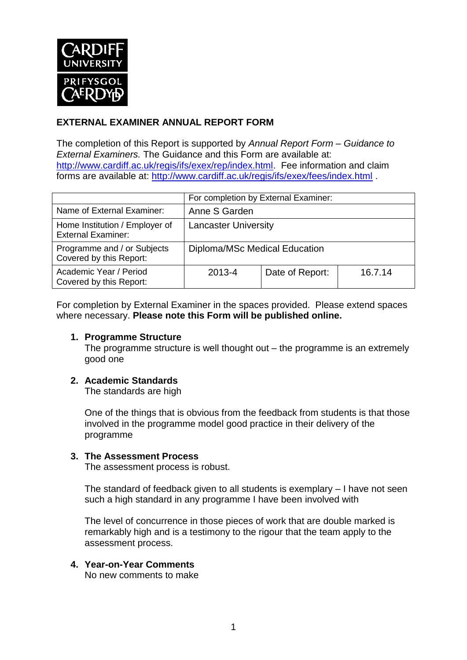

## **EXTERNAL EXAMINER ANNUAL REPORT FORM**

The completion of this Report is supported by *Annual Report Form – Guidance to External Examiners.* The Guidance and this Form are available at: [http://www.cardiff.ac.uk/regis/ifs/exex/rep/index.html.](http://www.cardiff.ac.uk/regis/ifs/exex/rep/index.html) Fee information and claim forms are available at:<http://www.cardiff.ac.uk/regis/ifs/exex/fees/index.html> .

|                                                             | For completion by External Examiner: |                 |         |  |
|-------------------------------------------------------------|--------------------------------------|-----------------|---------|--|
| Name of External Examiner:                                  | Anne S Garden                        |                 |         |  |
| Home Institution / Employer of<br><b>External Examiner:</b> | <b>Lancaster University</b>          |                 |         |  |
| Programme and / or Subjects<br>Covered by this Report:      | Diploma/MSc Medical Education        |                 |         |  |
| Academic Year / Period<br>Covered by this Report:           | 2013-4                               | Date of Report: | 16.7.14 |  |

For completion by External Examiner in the spaces provided. Please extend spaces where necessary. **Please note this Form will be published online.**

#### **1. Programme Structure**

The programme structure is well thought out – the programme is an extremely good one

## **2. Academic Standards**

The standards are high

One of the things that is obvious from the feedback from students is that those involved in the programme model good practice in their delivery of the programme

#### **3. The Assessment Process**

The assessment process is robust.

The standard of feedback given to all students is exemplary – I have not seen such a high standard in any programme I have been involved with

The level of concurrence in those pieces of work that are double marked is remarkably high and is a testimony to the rigour that the team apply to the assessment process.

## **4. Year-on-Year Comments**

No new comments to make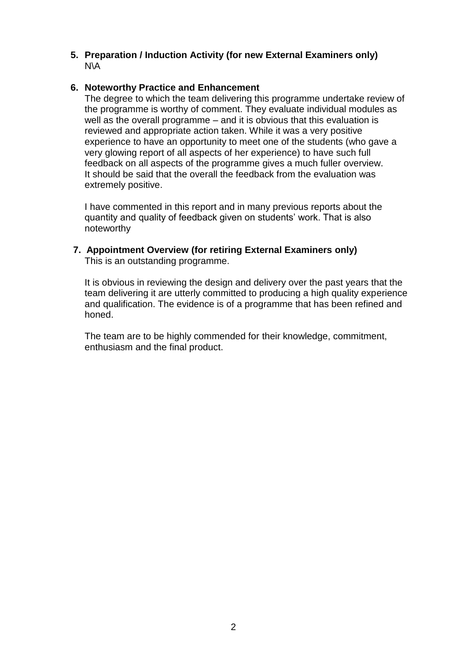#### **5. Preparation / Induction Activity (for new External Examiners only)** N\A

#### **6. Noteworthy Practice and Enhancement**

The degree to which the team delivering this programme undertake review of the programme is worthy of comment. They evaluate individual modules as well as the overall programme – and it is obvious that this evaluation is reviewed and appropriate action taken. While it was a very positive experience to have an opportunity to meet one of the students (who gave a very glowing report of all aspects of her experience) to have such full feedback on all aspects of the programme gives a much fuller overview. It should be said that the overall the feedback from the evaluation was extremely positive.

I have commented in this report and in many previous reports about the quantity and quality of feedback given on students' work. That is also noteworthy

#### **7. Appointment Overview (for retiring External Examiners only)** This is an outstanding programme.

It is obvious in reviewing the design and delivery over the past years that the team delivering it are utterly committed to producing a high quality experience and qualification. The evidence is of a programme that has been refined and honed.

The team are to be highly commended for their knowledge, commitment, enthusiasm and the final product.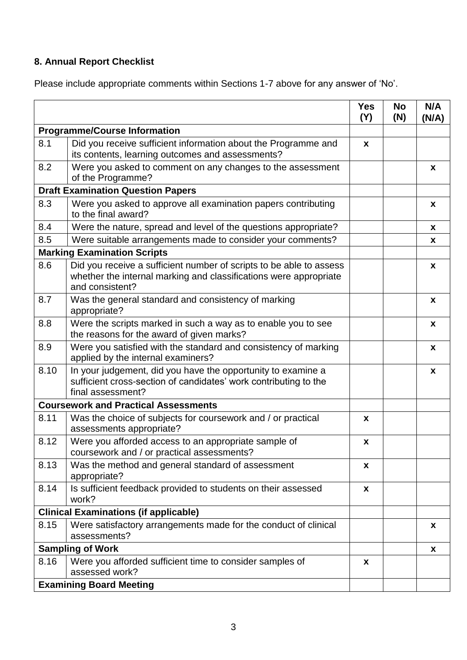# **8. Annual Report Checklist**

Please include appropriate comments within Sections 1-7 above for any answer of 'No'.

|                                              |                                                                                                                                                             | <b>Yes</b><br>(Y)  | <b>No</b><br>(N) | N/A<br>(N/A) |
|----------------------------------------------|-------------------------------------------------------------------------------------------------------------------------------------------------------------|--------------------|------------------|--------------|
| <b>Programme/Course Information</b>          |                                                                                                                                                             |                    |                  |              |
| 8.1                                          | Did you receive sufficient information about the Programme and<br>its contents, learning outcomes and assessments?                                          | X                  |                  |              |
| 8.2                                          | Were you asked to comment on any changes to the assessment<br>of the Programme?                                                                             |                    |                  | x            |
| <b>Draft Examination Question Papers</b>     |                                                                                                                                                             |                    |                  |              |
| 8.3                                          | Were you asked to approve all examination papers contributing<br>to the final award?                                                                        |                    |                  | X            |
| 8.4                                          | Were the nature, spread and level of the questions appropriate?                                                                                             |                    |                  | X            |
| 8.5                                          | Were suitable arrangements made to consider your comments?                                                                                                  |                    |                  | X            |
|                                              | <b>Marking Examination Scripts</b>                                                                                                                          |                    |                  |              |
| 8.6                                          | Did you receive a sufficient number of scripts to be able to assess<br>whether the internal marking and classifications were appropriate<br>and consistent? |                    |                  | X            |
| 8.7                                          | Was the general standard and consistency of marking<br>appropriate?                                                                                         |                    |                  | X            |
| 8.8                                          | Were the scripts marked in such a way as to enable you to see<br>the reasons for the award of given marks?                                                  |                    |                  | X            |
| 8.9                                          | Were you satisfied with the standard and consistency of marking<br>applied by the internal examiners?                                                       |                    |                  | X            |
| 8.10                                         | In your judgement, did you have the opportunity to examine a<br>sufficient cross-section of candidates' work contributing to the<br>final assessment?       |                    |                  | X            |
| <b>Coursework and Practical Assessments</b>  |                                                                                                                                                             |                    |                  |              |
| 8.11                                         | Was the choice of subjects for coursework and / or practical<br>assessments appropriate?                                                                    | X                  |                  |              |
| 8.12                                         | Were you afforded access to an appropriate sample of<br>coursework and / or practical assessments?                                                          | $\pmb{\mathsf{X}}$ |                  |              |
| 8.13                                         | Was the method and general standard of assessment<br>appropriate?                                                                                           | X                  |                  |              |
| 8.14                                         | Is sufficient feedback provided to students on their assessed<br>work?                                                                                      | X                  |                  |              |
| <b>Clinical Examinations (if applicable)</b> |                                                                                                                                                             |                    |                  |              |
| 8.15                                         | Were satisfactory arrangements made for the conduct of clinical<br>assessments?                                                                             |                    |                  | X            |
|                                              | <b>Sampling of Work</b>                                                                                                                                     |                    |                  | X            |
| 8.16                                         | Were you afforded sufficient time to consider samples of<br>assessed work?                                                                                  | X                  |                  |              |
|                                              | <b>Examining Board Meeting</b>                                                                                                                              |                    |                  |              |